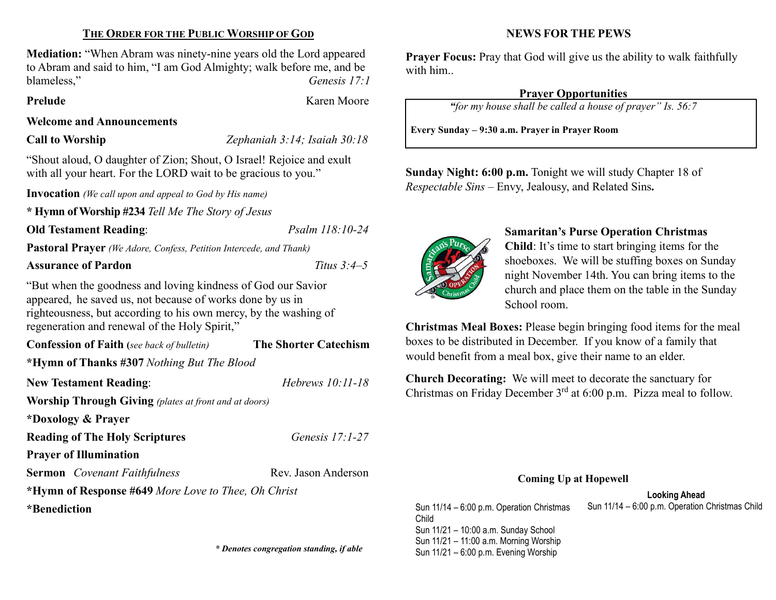### THE ORDER FOR THE PUBLIC WORSHIP OF GOD

Mediation: "When Abram was ninety-nine years old the Lord appeared to Abram and said to him, "I am God Almighty; walk before me, and be blameless," Genesis 17:1

Prelude Karen Moore

#### Welcome and Announcements

Call to Worship Zephaniah 3:14; Isaiah 30:18

"Shout aloud, O daughter of Zion; Shout, O Israel! Rejoice and exult with all your heart. For the LORD wait to be gracious to you."

**Invocation** (We call upon and appeal to God by His name)

\* Hymn of Worship #234 Tell Me The Story of Jesus

#### Old Testament Reading: Psalm 118:10-24

Pastoral Prayer (We Adore, Confess, Petition Intercede, and Thank)

### Assurance of Pardon Titus 3:4–5

"But when the goodness and loving kindness of God our Savior appeared, he saved us, not because of works done by us in righteousness, but according to his own mercy, by the washing of regeneration and renewal of the Holy Spirit,"

Confession of Faith (see back of bulletin) The Shorter Catechism

\*Hymn of Thanks #307 Nothing But The Blood

New Testament Reading: Hebrews 10:11-18 Worship Through Giving (plates at front and at doors) \*Doxology & Prayer Reading of The Holy Scriptures Genesis 17:1-27 Prayer of Illumination Sermon Covenant Faithfulness Rev. Jason Anderson

\*Hymn of Response #649 More Love to Thee, Oh Christ

\*Benediction

#### NEWS FOR THE PEWS

**Prayer Focus:** Pray that God will give us the ability to walk faithfully with him..

#### Prayer Opportunities

"for my house shall be called a house of prayer" Is. 56:7

Every Sunday – 9:30 a.m. Prayer in Prayer Room

Sunday Night: 6:00 p.m. Tonight we will study Chapter 18 of Respectable Sins – Envy, Jealousy, and Related Sins.



#### Samaritan's Purse Operation Christmas

Child: It's time to start bringing items for the shoeboxes. We will be stuffing boxes on Sunday night November 14th. You can bring items to the church and place them on the table in the Sunday School room.

Christmas Meal Boxes: Please begin bringing food items for the meal boxes to be distributed in December. If you know of a family that would benefit from a meal box, give their name to an elder.

Church Decorating: We will meet to decorate the sanctuary for Christmas on Friday December  $3<sup>rd</sup>$  at 6:00 p.m. Pizza meal to follow.

#### Coming Up at Hopewell

Looking Ahead Sun 11/14 – 6:00 p.m. Operation Christmas Sun 11/14 – 6:00 p.m. Operation Christmas Child

Child Sun 11/21 – 10:00 a.m. Sunday School Sun 11/21 – 11:00 a.m. Morning Worship \* Denotes congregation standing, if able<br>Sun 11/21 – 6:00 p.m. Evening Worship